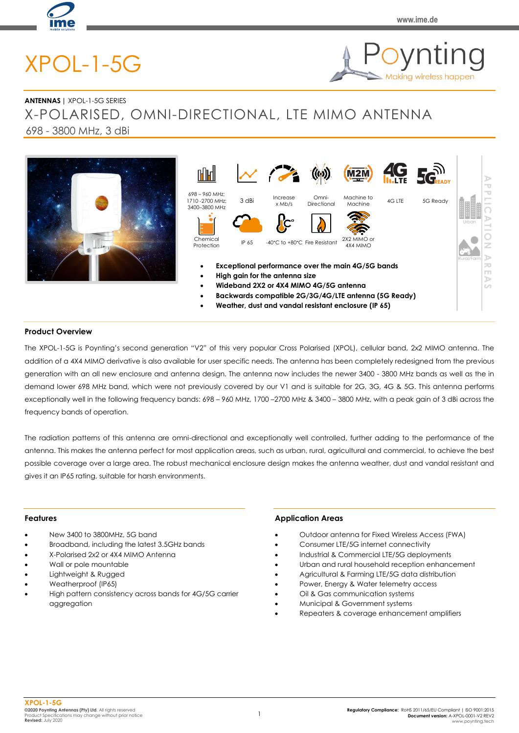

# XPOL-1-5G

# Making wireless happen

### **ANTENNAS |** XPOL-1-5G SERIES

X-POLARISED, OMNI-DIRECTIONAL, LTE MIMO ANTENNA 698 - 3800 MHz, 3 dBi





#### **Product Overview**

The XPOL-1-5G is Poynting's second generation "V2" of this very popular Cross Polarised (XPOL), cellular band, 2x2 MIMO antenna. The addition of a 4X4 MIMO derivative is also available for user specific needs. The antenna has been completely redesigned from the previous generation with an all new enclosure and antenna design. The antenna now includes the newer 3400 - 3800 MHz bands as well as the in demand lower 698 MHz band, which were not previously covered by our V1 and is suitable for 2G, 3G, 4G & 5G. This antenna performs exceptionally well in the following frequency bands: 698 – 960 MHz, 1700 –2700 MHz & 3400 – 3800 MHz, with a peak gain of 3 dBi across the frequency bands of operation.

The radiation patterns of this antenna are omni-directional and exceptionally well controlled, further adding to the performance of the antenna. This makes the antenna perfect for most application areas, such as urban, rural, agricultural and commercial, to achieve the best possible coverage over a large area. The robust mechanical enclosure design makes the antenna weather, dust and vandal resistant and gives it an IP65 rating, suitable for harsh environments.

#### **Features**

- New 3400 to 3800MHz, 5G band
- Broadband, including the latest 3.5GHz bands
- X-Polarised 2x2 or 4X4 MIMO Antenna
- Wall or pole mountable
- Lightweight & Rugged
- Weatherproof (IP65)
- High pattern consistency across bands for 4G/5G carrier aggregation

#### **Application Areas**

- Outdoor antenna for Fixed Wireless Access (FWA)
- Consumer LTE/5G internet connectivity
- Industrial & Commercial LTE/5G deployments
- Urban and rural household reception enhancement
- Agricultural & Farming LTE/5G data distribution
- Power, Energy & Water telemetry access
- Oil & Gas communication systems
- Municipal & Government systems
- Repeaters & coverage enhancement amplifiers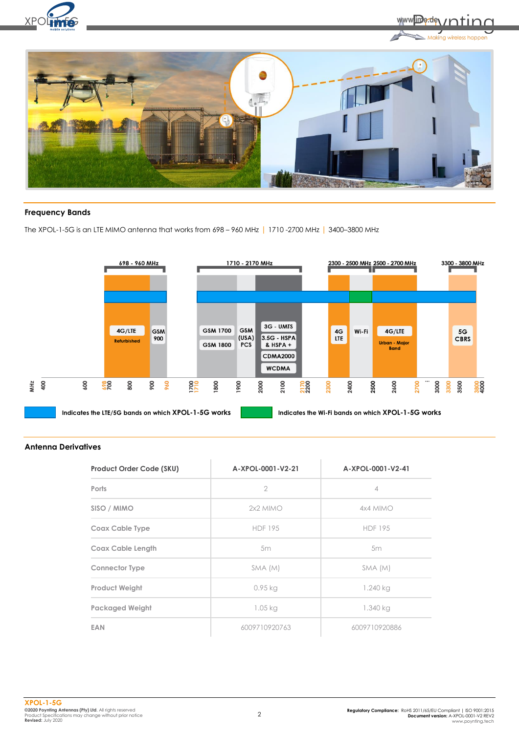

## www.ime.dev.ntinn

Making wireless hap



#### **Frequency Bands**

The XPOL-1-5G is an LTE MIMO antenna that works from 698 – 960 MHz | 1710 -2700 MHz | 3400–3800 MHz



#### **Antenna Derivatives**

| <b>Product Order Code (SKU)</b> | A-XPOL-0001-V2-21              | A-XPOL-0001-V2-41<br>$\overline{4}$ |  |
|---------------------------------|--------------------------------|-------------------------------------|--|
| Ports                           | $\overline{2}$                 |                                     |  |
| SISO / MIMO                     | $2x2$ MIMO                     | 4x4 MIMO                            |  |
| <b>Coax Cable Type</b>          | <b>HDF 195</b>                 | <b>HDF 195</b>                      |  |
| <b>Coax Cable Length</b>        | 5m                             | 5m                                  |  |
| <b>Connector Type</b>           | SMA (M)                        | SMA (M)                             |  |
| <b>Product Weight</b>           | $0.95$ kg                      | 1.240 kg                            |  |
| <b>Packaged Weight</b>          | $1.05$ kg<br>1.340 kg          |                                     |  |
| <b>EAN</b>                      | 6009710920763<br>6009710920886 |                                     |  |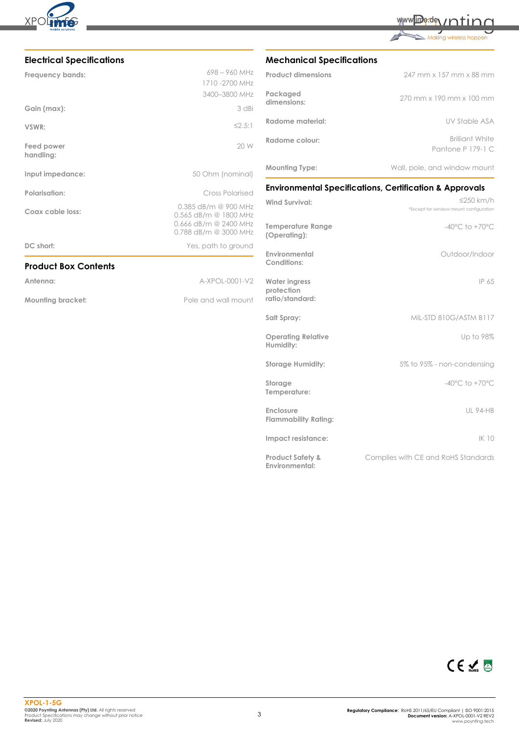

www.ime.de

| <b>Electrical Specifications</b> |                                                | <b>Mechanical Specifications</b>                                   |                                                           |  |
|----------------------------------|------------------------------------------------|--------------------------------------------------------------------|-----------------------------------------------------------|--|
| Frequency bands:                 | $698 - 960$ MHz<br>1710 - 2700 MHz             | <b>Product dimensions</b>                                          | 247 mm x 157 mm x 88 mm                                   |  |
|                                  | 3400-3800 MHz                                  | Packaged                                                           | 270 mm x 190 mm x 100 mm                                  |  |
| Gain (max):                      | 3 dBi                                          | dimensions:                                                        |                                                           |  |
| VSWR:                            | $\leq 2.5:1$                                   | Radome material:                                                   | UV Stable ASA                                             |  |
| Feed power<br>handling:          | 20 W                                           | Radome colour:                                                     | <b>Brilliant White</b><br>Pantone P 179-1 C               |  |
| Input impedance:                 | 50 Ohm (nominal)                               | Mounting Type:                                                     | Wall, pole, and window mount                              |  |
| Polarisation:                    | <b>Cross Polarised</b>                         | <b>Environmental Specifications, Certification &amp; Approvals</b> |                                                           |  |
| Coax cable loss:                 | 0.385 dB/m @ 900 MHz<br>0.565 dB/m @ 1800 MHz  | <b>Wind Survival:</b>                                              | $\leq$ 250 km/h<br>*Except for window mount configuration |  |
|                                  | 0.666 dB/m @ 2400 MHz<br>0.788 dB/m @ 3000 MHz | <b>Temperature Range</b><br>(Operating):                           | $-40^{\circ}$ C to $+70^{\circ}$ C                        |  |
| DC short:                        | Yes, path to ground                            | Environmental                                                      |                                                           |  |
| <b>Product Box Contents</b>      |                                                | <b>Conditions:</b>                                                 | Outdoor/Indoor                                            |  |
| Antenna:                         | A-XPOL-0001-V2                                 | <b>Water ingress</b>                                               | IP 65                                                     |  |
| <b>Mounting bracket:</b>         | Pole and wall mount                            | protection<br>ratio/standard:                                      |                                                           |  |
|                                  |                                                | Salt Spray:                                                        | MIL-STD 810G/ASTM B117                                    |  |
|                                  |                                                | <b>Operating Relative</b><br>Humidity:                             | Up to 98%                                                 |  |
|                                  |                                                | <b>Storage Humidity:</b>                                           | 5% to 95% - non-condensing                                |  |
|                                  |                                                | Storage<br>Temperature:                                            | $-40^{\circ}$ C to $+70^{\circ}$ C                        |  |
|                                  |                                                | <b>Enclosure</b><br><b>Flammability Rating:</b>                    | <b>UL 94-HB</b>                                           |  |
|                                  |                                                | Impact resistance:                                                 | <b>IK 10</b>                                              |  |

Complies with CE and RoHS Standards



**Product Safety & Environmental:**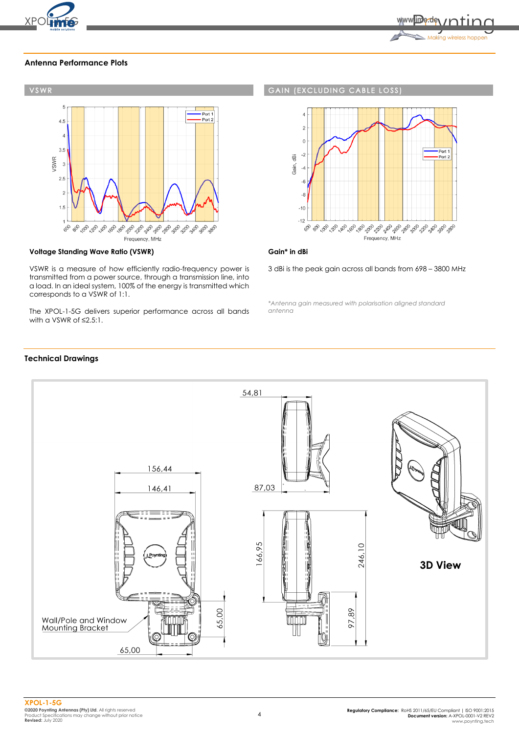

#### **Antenna Performance Plots**



#### **Voltage Standing Wave Ratio (VSWR)**

VSWR is a measure of how efficiently radio-frequency power is transmitted from a power source, through a transmission line, into a load. In an ideal system, 100% of the energy is transmitted which corresponds to a VSWR of 1:1.

The XPOL-1-5G delivers superior performance across all bands with a VSWR of ≤2.5:1.

#### **GAIN (EXCLUDING CABLE LOSS**



#### **Gain\* in dBi**

3 dBi is the peak gain across all bands from 698 – 3800 MHz

*\*Antenna gain measured with polarisation aligned standard antenna*

#### **Technical Drawings**

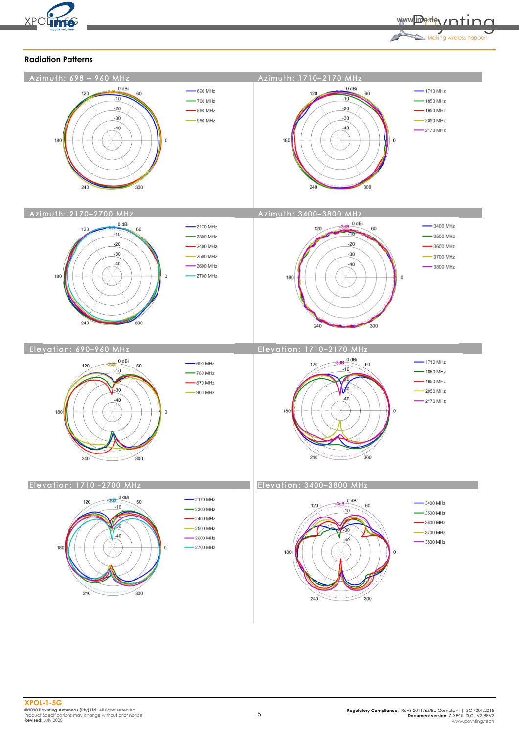

www.jude.dev.nting **Making wireless** 

#### **Radiation Patterns**

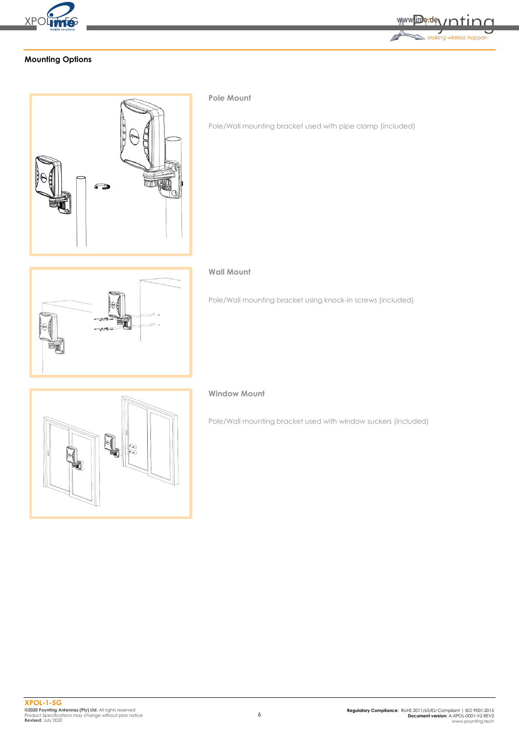



#### **Mounting Options**



#### **Pole Mount**

Pole/Wall mounting bracket used with pipe clamp (included)



Pole/Wall mounting bracket using knock-in screws (included)



#### **Window Mount**

Pole/Wall mounting bracket used with window suckers (included)